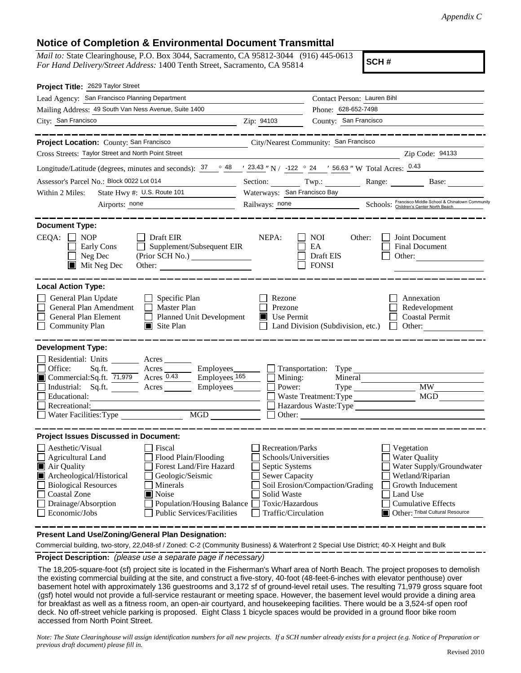## **Notice of Completion & Environmental Document Transmittal**

*Mail to:* State Clearinghouse, P.O. Box 3044, Sacramento, CA 95812-3044 (916) 445-0613 *For Hand Delivery/Street Address:* 1400 Tenth Street, Sacramento, CA 95814

**SCH #**

| Project Title: 2629 Taylor Street                                                                                                                                                                                                                                                                                                                                                                                                                             |                                                                                                                                                     |                                                         |                                                                                                                                                                                     |
|---------------------------------------------------------------------------------------------------------------------------------------------------------------------------------------------------------------------------------------------------------------------------------------------------------------------------------------------------------------------------------------------------------------------------------------------------------------|-----------------------------------------------------------------------------------------------------------------------------------------------------|---------------------------------------------------------|-------------------------------------------------------------------------------------------------------------------------------------------------------------------------------------|
| Lead Agency: San Francisco Planning Department                                                                                                                                                                                                                                                                                                                                                                                                                |                                                                                                                                                     | Contact Person: Lauren Bihl                             |                                                                                                                                                                                     |
| Mailing Address: 49 South Van Ness Avenue, Suite 1400                                                                                                                                                                                                                                                                                                                                                                                                         |                                                                                                                                                     | Phone: 628-652-7498                                     |                                                                                                                                                                                     |
| City: San Francisco<br>Zip: 94103                                                                                                                                                                                                                                                                                                                                                                                                                             |                                                                                                                                                     | County: San Francisco                                   |                                                                                                                                                                                     |
| Project Location: County: San Francisco                                                                                                                                                                                                                                                                                                                                                                                                                       |                                                                                                                                                     | City/Nearest Community: San Francisco                   |                                                                                                                                                                                     |
| Cross Streets: Taylor Street and North Point Street                                                                                                                                                                                                                                                                                                                                                                                                           |                                                                                                                                                     |                                                         | Zip Code: 94133                                                                                                                                                                     |
| Longitude/Latitude (degrees, minutes and seconds): $\frac{37}{100}$ $\frac{48}{100}$ / $\frac{23.43}{100}$ N / $\frac{122}{100}$ 24 / $\frac{56.63}{100}$ W Total Acres: $\frac{0.43}{100}$                                                                                                                                                                                                                                                                   |                                                                                                                                                     |                                                         |                                                                                                                                                                                     |
| Assessor's Parcel No.: Block 0022 Lot 014                                                                                                                                                                                                                                                                                                                                                                                                                     |                                                                                                                                                     |                                                         | Section: Twp.: Range: Base:                                                                                                                                                         |
| State Hwy #: U.S. Route 101<br>Within 2 Miles:                                                                                                                                                                                                                                                                                                                                                                                                                | Waterways: San Francisco Bay                                                                                                                        |                                                         |                                                                                                                                                                                     |
| Airports: none                                                                                                                                                                                                                                                                                                                                                                                                                                                |                                                                                                                                                     |                                                         | Railways: <u>none</u><br>Schools: Children's Center North Beach                                                                                                                     |
| <b>Document Type:</b><br>CEQA:<br>$\Box$ NOP<br>$\Box$ Draft EIR<br><b>Early Cons</b><br>$\Box$ Supplement/Subsequent EIR<br>$\Box$ Neg Dec                                                                                                                                                                                                                                                                                                                   | NEPA:                                                                                                                                               | NOI<br>Other:<br>EA<br>Draft EIS                        | Joint Document<br>Final Document<br>Other:                                                                                                                                          |
| Mit Neg Dec                                                                                                                                                                                                                                                                                                                                                                                                                                                   |                                                                                                                                                     | <b>FONSI</b>                                            |                                                                                                                                                                                     |
|                                                                                                                                                                                                                                                                                                                                                                                                                                                               |                                                                                                                                                     |                                                         |                                                                                                                                                                                     |
| <b>Local Action Type:</b><br>General Plan Update<br>$\Box$ Specific Plan<br>General Plan Amendment<br>Master Plan<br>$\Box$<br>Planned Unit Development<br>General Plan Element<br>$\blacksquare$ Site Plan<br><b>Community Plan</b>                                                                                                                                                                                                                          | Rezone<br>Prezone<br>$\blacksquare$ Use Permit                                                                                                      | Land Division (Subdivision, etc.)                       | Annexation<br>Redevelopment<br><b>Coastal Permit</b><br>$\Box$ Other:                                                                                                               |
| <b>Development Type:</b><br>Residential: Units _______ Acres ______<br>Sq.ft. _________ Acres __________ Employees____<br>Office:<br>Commercial:Sq.ft. 71,979 Acres 0.43 Employees 165<br>Industrial: Sq.ft. <u>Acres</u> Acres Employees<br>Educational:<br>Recreational:<br><u>NGD</u><br>Water Facilities: Type                                                                                                                                            | Mining:<br>Power:<br>Other:                                                                                                                         | Transportation: Type<br>Mineral<br>Hazardous Waste:Type | Type MW MW<br>MGD                                                                                                                                                                   |
| <b>Project Issues Discussed in Document:</b><br>Aesthetic/Visual<br>Fiscal<br>$\Box$ Agricultural Land<br>Flood Plain/Flooding<br>Air Quality<br>Forest Land/Fire Hazard<br>Archeological/Historical<br>Geologic/Seismic<br>$\mathbf{I}$<br><b>Biological Resources</b><br>Minerals<br>$\mathbf{I}$<br><b>Coastal Zone</b><br>$\blacksquare$ Noise<br>Drainage/Absorption<br>Population/Housing Balance<br>Economic/Jobs<br><b>Public Services/Facilities</b> | <b>Recreation/Parks</b><br>Schools/Universities<br>Septic Systems<br><b>Sewer Capacity</b><br>Solid Waste<br>Toxic/Hazardous<br>Traffic/Circulation | Soil Erosion/Compaction/Grading                         | Vegetation<br><b>Water Quality</b><br>Water Supply/Groundwater<br>Wetland/Riparian<br>Growth Inducement<br>Land Use<br><b>Cumulative Effects</b><br>Other: Tribal Cultural Resource |

**Present Land Use/Zoning/General Plan Designation:**

Commercial building, two-story, 22,048-sf / Zoned: C-2 (Community Business) & Waterfront 2 Special Use District; 40-X Height and Bulk

**Project Description:** *(please use a separate page if necessary)*

The 18,205-square-foot (sf) project site is located in the Fisherman's Wharf area of North Beach. The project proposes to demolish the existing commercial building at the site, and construct a five-story, 40-foot (48-feet-6-inches with elevator penthouse) over basement hotel with approximately 136 guestrooms and 3,172 sf of ground-level retail uses. The resulting 71,979 gross square foot (gsf) hotel would not provide a full-service restaurant or meeting space. However, the basement level would provide a dining area for breakfast as well as a fitness room, an open-air courtyard, and housekeeping facilities. There would be a 3,524-sf open roof deck. No off-street vehicle parking is proposed. Eight Class 1 bicycle spaces would be provided in a ground floor bike room accessed from North Point Street.

*Note: The State Clearinghouse will assign identification numbers for all new projects. If a SCH number already exists for a project (e.g. Notice of Preparation or previous draft document) please fill in.*